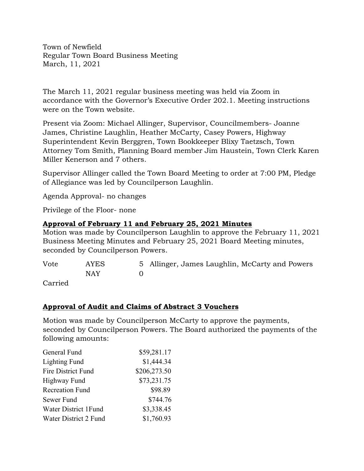Town of Newfield Regular Town Board Business Meeting March, 11, 2021

The March 11, 2021 regular business meeting was held via Zoom in accordance with the Governor's Executive Order 202.1. Meeting instructions were on the Town website.

Present via Zoom: Michael Allinger, Supervisor, Councilmembers- Joanne James, Christine Laughlin, Heather McCarty, Casey Powers, Highway Superintendent Kevin Berggren, Town Bookkeeper Blixy Taetzsch, Town Attorney Tom Smith, Planning Board member Jim Haustein, Town Clerk Karen Miller Kenerson and 7 others.

Supervisor Allinger called the Town Board Meeting to order at 7:00 PM, Pledge of Allegiance was led by Councilperson Laughlin.

Agenda Approval- no changes

Privilege of the Floor- none

## **Approval of February 11 and February 25, 2021 Minutes**

Motion was made by Councilperson Laughlin to approve the February 11, 2021 Business Meeting Minutes and February 25, 2021 Board Meeting minutes, seconded by Councilperson Powers.

| Vote   | <b>AYES</b> | 5 Allinger, James Laughlin, McCarty and Powers |
|--------|-------------|------------------------------------------------|
|        | <b>NAY</b>  |                                                |
| $\sim$ |             |                                                |

Carried

## **Approval of Audit and Claims of Abstract 3 Vouchers**

Motion was made by Councilperson McCarty to approve the payments, seconded by Councilperson Powers. The Board authorized the payments of the following amounts:

| General Fund              | \$59,281.17  |
|---------------------------|--------------|
| <b>Lighting Fund</b>      | \$1,444.34   |
| <b>Fire District Fund</b> | \$206,273.50 |
| Highway Fund              | \$73,231.75  |
| <b>Recreation Fund</b>    | \$98.89      |
| Sewer Fund                | \$744.76     |
| Water District 1 Fund     | \$3,338.45   |
| Water District 2 Fund     | \$1,760.93   |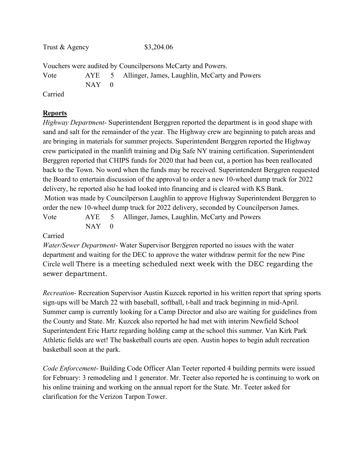Trust & Agency \$3,204.06

Vouchers were audited by Councilpersons McCarty and Powers. Vote AYE 5 Allinger, James, Laughlin, McCarty and Powers  $NAY$  0

Carried

## **Reports**

*Highway Department*- Superintendent Berggren reported the department is in good shape with sand and salt for the remainder of the year. The Highway crew are beginning to patch areas and are bringing in materials for summer projects. Superintendent Berggren reported the Highway crew participated in the manlift training and Dig Safe NY training certification. Superintendent Berggren reported that CHIPS funds for 2020 that had been cut, a portion has been reallocated back to the Town. No word when the funds may be received. Superintendent Berggren requested the Board to entertain discussion of the approval to order a new 10-wheel dump truck for 2022 delivery, he reported also he had looked into financing and is cleared with KS Bank. Motion was made by Councilperson Laughlin to approve Highway Superintendent Berggren to order the new 10-wheel dump truck for 2022 delivery, seconded by Councilperson James. Vote AYE 5 Allinger, James, Laughlin, McCarty and Powers  $NAY$  0

### Carried

*Water/Sewer Department*- Water Supervisor Berggren reported no issues with the water department and waiting for the DEC to approve the water withdraw permit for the new Pine Circle well There is a meeting scheduled next week with the DEC regarding the sewer department.

*Recreation-* Recreation Supervisor Austin Kuzcek reported in his written report that spring sports sign-ups will be March 22 with baseball, softball, t-ball and track beginning in mid-April. Summer camp is currently looking for a Camp Director and also are waiting for guidelines from the County and State. Mr. Kuzcek also reported he had met with interim Newfield School Superintendent Eric Hartz regarding holding camp at the school this summer. Van Kirk Park Athletic fields are wet! The basketball courts are open. Austin hopes to begin adult recreation basketball soon at the park.

*Code Enforcement*- Building Code Officer Alan Teeter reported 4 building permits were issued for February: 3 remodeling and 1 generator. Mr. Teeter also reported he is continuing to work on his online training and working on the annual report for the State. Mr. Teeter asked for clarification for the Verizon Tarpon Tower.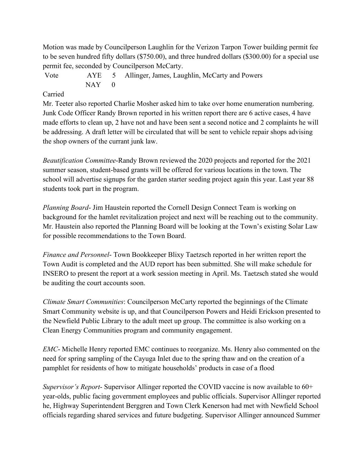Motion was made by Councilperson Laughlin for the Verizon Tarpon Tower building permit fee to be seven hundred fifty dollars (\$750.00), and three hundred dollars (\$300.00) for a special use permit fee, seconded by Councilperson McCarty.

Vote AYE 5 Allinger, James, Laughlin, McCarty and Powers  $NAY$  0

### Carried

Mr. Teeter also reported Charlie Mosher asked him to take over home enumeration numbering. Junk Code Officer Randy Brown reported in his written report there are 6 active cases, 4 have made efforts to clean up, 2 have not and have been sent a second notice and 2 complaints he will be addressing. A draft letter will be circulated that will be sent to vehicle repair shops advising the shop owners of the currant junk law.

*Beautification Committee*-Randy Brown reviewed the 2020 projects and reported for the 2021 summer season, student-based grants will be offered for various locations in the town. The school will advertise signups for the garden starter seeding project again this year. Last year 88 students took part in the program.

*Planning Board*- Jim Haustein reported the Cornell Design Connect Team is working on background for the hamlet revitalization project and next will be reaching out to the community. Mr. Haustein also reported the Planning Board will be looking at the Town's existing Solar Law for possible recommendations to the Town Board.

*Finance and Personnel*- Town Bookkeeper Blixy Taetzsch reported in her written report the Town Audit is completed and the AUD report has been submitted. She will make schedule for INSERO to present the report at a work session meeting in April. Ms. Taetzsch stated she would be auditing the court accounts soon.

*Climate Smart Communities*: Councilperson McCarty reported the beginnings of the Climate Smart Community website is up, and that Councilperson Powers and Heidi Erickson presented to the Newfield Public Library to the adult meet up group. The committee is also working on a Clean Energy Communities program and community engagement.

*EMC*- Michelle Henry reported EMC continues to reorganize. Ms. Henry also commented on the need for spring sampling of the Cayuga Inlet due to the spring thaw and on the creation of a pamphlet for residents of how to mitigate households' products in case of a flood

*Supervisor's Report*- Supervisor Allinger reported the COVID vaccine is now available to 60+ year-olds, public facing government employees and public officials. Supervisor Allinger reported he, Highway Superintendent Berggren and Town Clerk Kenerson had met with Newfield School officials regarding shared services and future budgeting. Supervisor Allinger announced Summer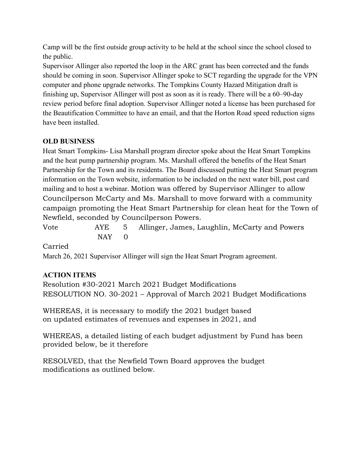Camp will be the first outside group activity to be held at the school since the school closed to the public.

Supervisor Allinger also reported the loop in the ARC grant has been corrected and the funds should be coming in soon. Supervisor Allinger spoke to SCT regarding the upgrade for the VPN computer and phone upgrade networks. The Tompkins County Hazard Mitigation draft is finishing up, Supervisor Allinger will post as soon as it is ready. There will be a 60–90-day review period before final adoption. Supervisor Allinger noted a license has been purchased for the Beautification Committee to have an email, and that the Horton Road speed reduction signs have been installed.

# **OLD BUSINESS**

Heat Smart Tompkins- Lisa Marshall program director spoke about the Heat Smart Tompkins and the heat pump partnership program. Ms. Marshall offered the benefits of the Heat Smart Partnership for the Town and its residents. The Board discussed putting the Heat Smart program information on the Town website, information to be included on the next water bill, post card mailing and to host a webinar. Motion was offered by Supervisor Allinger to allow Councilperson McCarty and Ms. Marshall to move forward with a community campaign promoting the Heat Smart Partnership for clean heat for the Town of Newfield, seconded by Councilperson Powers.

Vote AYE 5 Allinger, James, Laughlin, McCarty and Powers  $NAY$  0

Carried

March 26, 2021 Supervisor Allinger will sign the Heat Smart Program agreement.

# **ACTION ITEMS**

Resolution #30-2021 March 2021 Budget Modifications RESOLUTION NO. 30-2021 – Approval of March 2021 Budget Modifications

WHEREAS, it is necessary to modify the 2021 budget based on updated estimates of revenues and expenses in 2021, and

WHEREAS, a detailed listing of each budget adjustment by Fund has been provided below, be it therefore

RESOLVED, that the Newfield Town Board approves the budget modifications as outlined below.